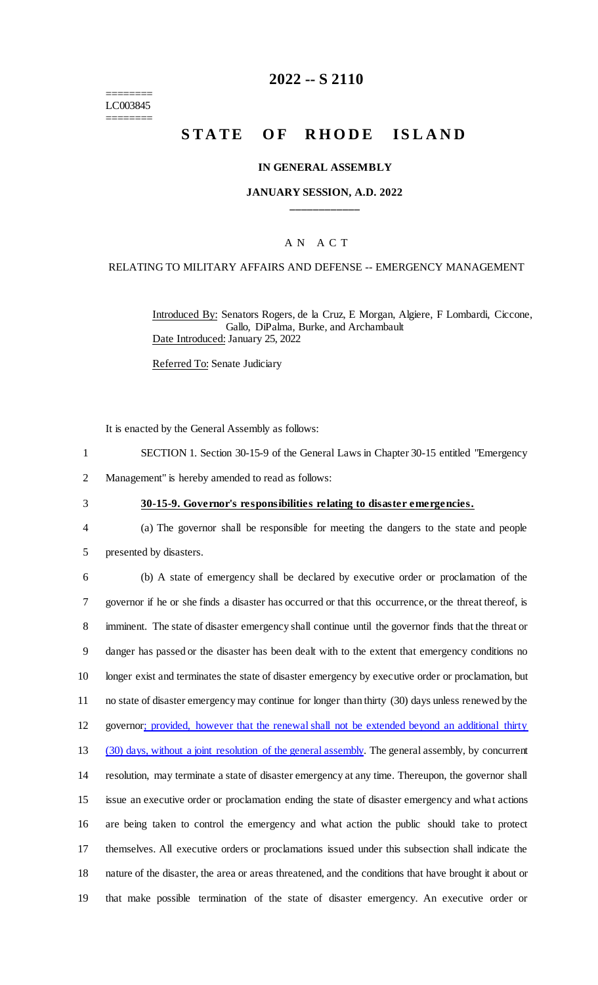======== LC003845 ========

# **2022 -- S 2110**

# **STATE OF RHODE ISLAND**

### **IN GENERAL ASSEMBLY**

### **JANUARY SESSION, A.D. 2022 \_\_\_\_\_\_\_\_\_\_\_\_**

### A N A C T

### RELATING TO MILITARY AFFAIRS AND DEFENSE -- EMERGENCY MANAGEMENT

Introduced By: Senators Rogers, de la Cruz, E Morgan, Algiere, F Lombardi, Ciccone, Gallo, DiPalma, Burke, and Archambault Date Introduced: January 25, 2022

Referred To: Senate Judiciary

It is enacted by the General Assembly as follows:

- 1 SECTION 1. Section 30-15-9 of the General Laws in Chapter 30-15 entitled "Emergency
- 2 Management" is hereby amended to read as follows:
- 

#### 3 **30-15-9. Governor's responsibilities relating to disaster emergencies.**

4 (a) The governor shall be responsible for meeting the dangers to the state and people 5 presented by disasters.

 (b) A state of emergency shall be declared by executive order or proclamation of the governor if he or she finds a disaster has occurred or that this occurrence, or the threat thereof, is imminent. The state of disaster emergency shall continue until the governor finds that the threat or danger has passed or the disaster has been dealt with to the extent that emergency conditions no longer exist and terminates the state of disaster emergency by executive order or proclamation, but no state of disaster emergency may continue for longer than thirty (30) days unless renewed by the 12 governor; provided, however that the renewal shall not be extended beyond an additional thirty (30) days, without a joint resolution of the general assembly. The general assembly, by concurrent resolution, may terminate a state of disaster emergency at any time. Thereupon, the governor shall issue an executive order or proclamation ending the state of disaster emergency and what actions are being taken to control the emergency and what action the public should take to protect themselves. All executive orders or proclamations issued under this subsection shall indicate the nature of the disaster, the area or areas threatened, and the conditions that have brought it about or that make possible termination of the state of disaster emergency. An executive order or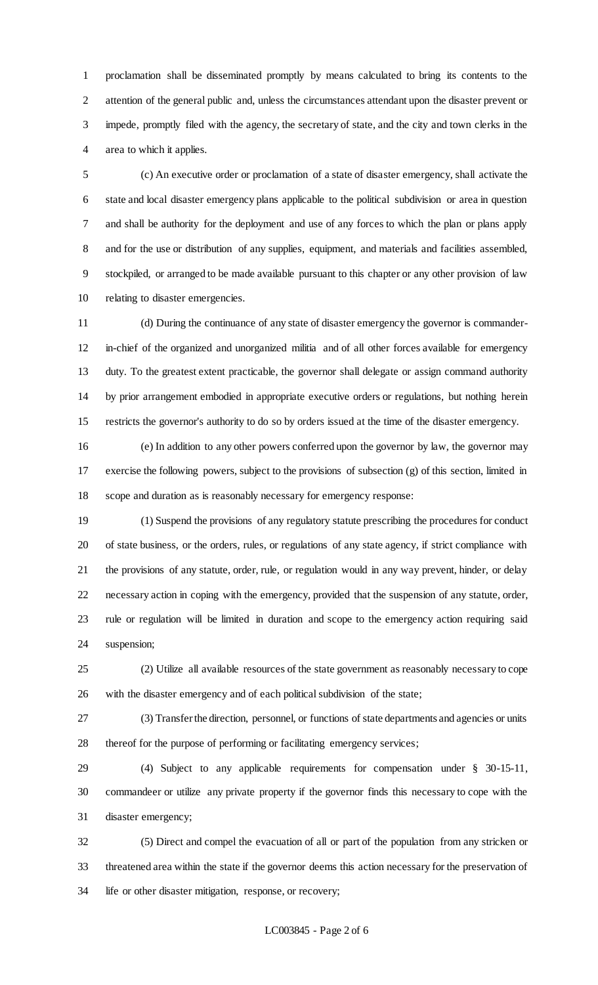proclamation shall be disseminated promptly by means calculated to bring its contents to the attention of the general public and, unless the circumstances attendant upon the disaster prevent or impede, promptly filed with the agency, the secretary of state, and the city and town clerks in the area to which it applies.

 (c) An executive order or proclamation of a state of disaster emergency, shall activate the state and local disaster emergency plans applicable to the political subdivision or area in question and shall be authority for the deployment and use of any forces to which the plan or plans apply and for the use or distribution of any supplies, equipment, and materials and facilities assembled, stockpiled, or arranged to be made available pursuant to this chapter or any other provision of law relating to disaster emergencies.

 (d) During the continuance of any state of disaster emergency the governor is commander- in-chief of the organized and unorganized militia and of all other forces available for emergency duty. To the greatest extent practicable, the governor shall delegate or assign command authority by prior arrangement embodied in appropriate executive orders or regulations, but nothing herein restricts the governor's authority to do so by orders issued at the time of the disaster emergency.

 (e) In addition to any other powers conferred upon the governor by law, the governor may exercise the following powers, subject to the provisions of subsection (g) of this section, limited in scope and duration as is reasonably necessary for emergency response:

 (1) Suspend the provisions of any regulatory statute prescribing the procedures for conduct of state business, or the orders, rules, or regulations of any state agency, if strict compliance with the provisions of any statute, order, rule, or regulation would in any way prevent, hinder, or delay necessary action in coping with the emergency, provided that the suspension of any statute, order, rule or regulation will be limited in duration and scope to the emergency action requiring said suspension;

 (2) Utilize all available resources of the state government as reasonably necessary to cope with the disaster emergency and of each political subdivision of the state;

 (3) Transfer the direction, personnel, or functions of state departments and agencies or units thereof for the purpose of performing or facilitating emergency services;

 (4) Subject to any applicable requirements for compensation under § 30-15-11, commandeer or utilize any private property if the governor finds this necessary to cope with the disaster emergency;

 (5) Direct and compel the evacuation of all or part of the population from any stricken or threatened area within the state if the governor deems this action necessary for the preservation of life or other disaster mitigation, response, or recovery;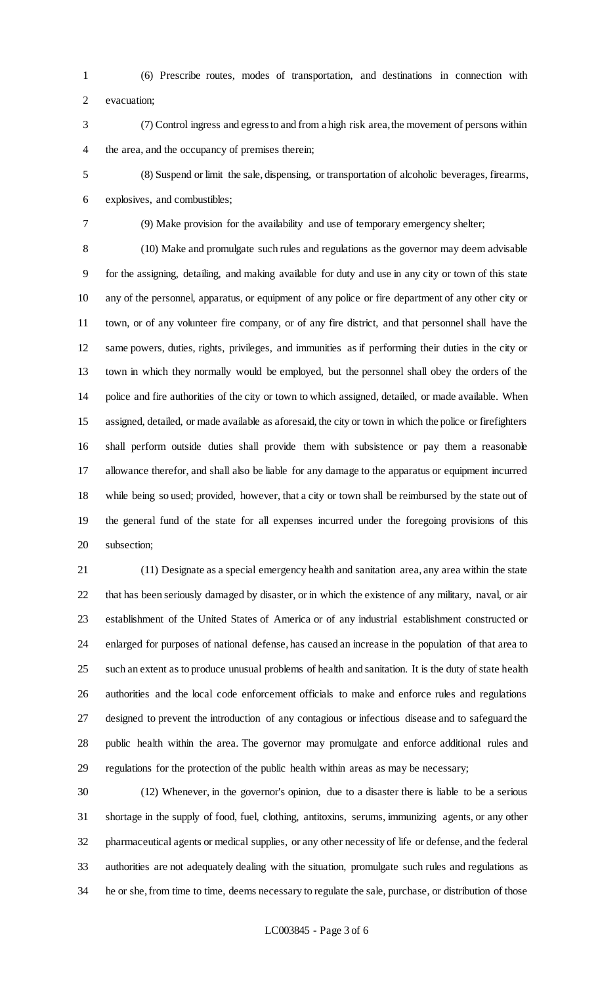(6) Prescribe routes, modes of transportation, and destinations in connection with evacuation;

 (7) Control ingress and egress to and from a high risk area, the movement of persons within the area, and the occupancy of premises therein;

 (8) Suspend or limit the sale, dispensing, or transportation of alcoholic beverages, firearms, explosives, and combustibles;

(9) Make provision for the availability and use of temporary emergency shelter;

 (10) Make and promulgate such rules and regulations as the governor may deem advisable for the assigning, detailing, and making available for duty and use in any city or town of this state any of the personnel, apparatus, or equipment of any police or fire department of any other city or town, or of any volunteer fire company, or of any fire district, and that personnel shall have the same powers, duties, rights, privileges, and immunities as if performing their duties in the city or town in which they normally would be employed, but the personnel shall obey the orders of the police and fire authorities of the city or town to which assigned, detailed, or made available. When assigned, detailed, or made available as aforesaid, the city or town in which the police or firefighters shall perform outside duties shall provide them with subsistence or pay them a reasonable allowance therefor, and shall also be liable for any damage to the apparatus or equipment incurred while being so used; provided, however, that a city or town shall be reimbursed by the state out of the general fund of the state for all expenses incurred under the foregoing provisions of this subsection;

 (11) Designate as a special emergency health and sanitation area, any area within the state that has been seriously damaged by disaster, or in which the existence of any military, naval, or air establishment of the United States of America or of any industrial establishment constructed or enlarged for purposes of national defense, has caused an increase in the population of that area to such an extent as to produce unusual problems of health and sanitation. It is the duty of state health authorities and the local code enforcement officials to make and enforce rules and regulations designed to prevent the introduction of any contagious or infectious disease and to safeguard the public health within the area. The governor may promulgate and enforce additional rules and regulations for the protection of the public health within areas as may be necessary;

 (12) Whenever, in the governor's opinion, due to a disaster there is liable to be a serious shortage in the supply of food, fuel, clothing, antitoxins, serums, immunizing agents, or any other pharmaceutical agents or medical supplies, or any other necessity of life or defense, and the federal authorities are not adequately dealing with the situation, promulgate such rules and regulations as he or she, from time to time, deems necessary to regulate the sale, purchase, or distribution of those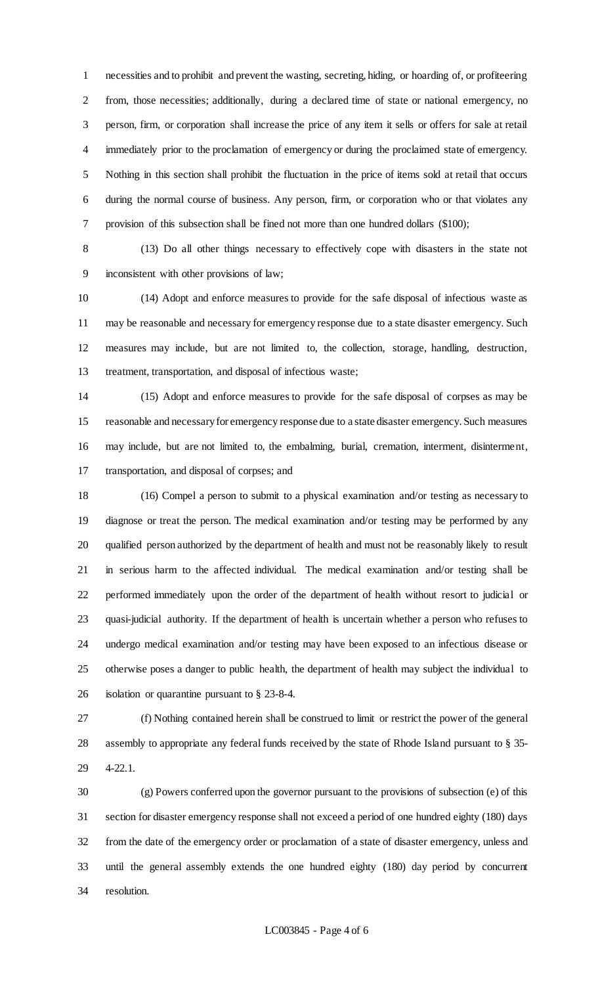necessities and to prohibit and prevent the wasting, secreting, hiding, or hoarding of, or profiteering from, those necessities; additionally, during a declared time of state or national emergency, no person, firm, or corporation shall increase the price of any item it sells or offers for sale at retail immediately prior to the proclamation of emergency or during the proclaimed state of emergency. Nothing in this section shall prohibit the fluctuation in the price of items sold at retail that occurs during the normal course of business. Any person, firm, or corporation who or that violates any provision of this subsection shall be fined not more than one hundred dollars (\$100);

 (13) Do all other things necessary to effectively cope with disasters in the state not inconsistent with other provisions of law;

 (14) Adopt and enforce measures to provide for the safe disposal of infectious waste as may be reasonable and necessary for emergency response due to a state disaster emergency. Such measures may include, but are not limited to, the collection, storage, handling, destruction, treatment, transportation, and disposal of infectious waste;

 (15) Adopt and enforce measures to provide for the safe disposal of corpses as may be reasonable and necessary for emergency response due to a state disaster emergency. Such measures may include, but are not limited to, the embalming, burial, cremation, interment, disinterment, transportation, and disposal of corpses; and

 (16) Compel a person to submit to a physical examination and/or testing as necessary to diagnose or treat the person. The medical examination and/or testing may be performed by any qualified person authorized by the department of health and must not be reasonably likely to result in serious harm to the affected individual. The medical examination and/or testing shall be performed immediately upon the order of the department of health without resort to judicial or quasi-judicial authority. If the department of health is uncertain whether a person who refuses to undergo medical examination and/or testing may have been exposed to an infectious disease or otherwise poses a danger to public health, the department of health may subject the individual to isolation or quarantine pursuant to § 23-8-4.

 (f) Nothing contained herein shall be construed to limit or restrict the power of the general assembly to appropriate any federal funds received by the state of Rhode Island pursuant to § 35- 4-22.1.

 (g) Powers conferred upon the governor pursuant to the provisions of subsection (e) of this section for disaster emergency response shall not exceed a period of one hundred eighty (180) days from the date of the emergency order or proclamation of a state of disaster emergency, unless and until the general assembly extends the one hundred eighty (180) day period by concurrent resolution.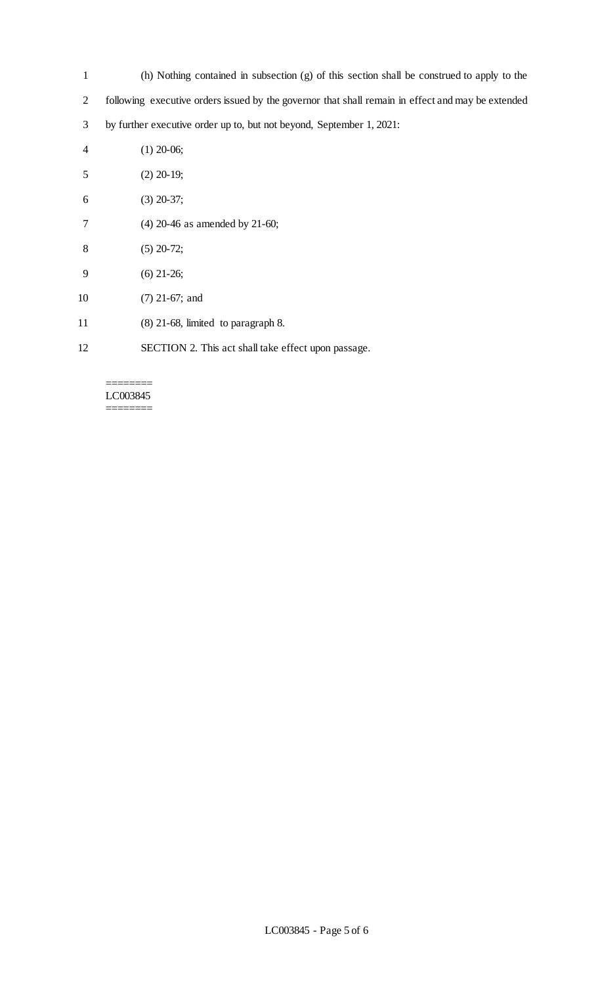- (h) Nothing contained in subsection (g) of this section shall be construed to apply to the
- following executive orders issued by the governor that shall remain in effect and may be extended
- by further executive order up to, but not beyond, September 1, 2021:
- (1) 20-06;
- (2) 20-19;
- (3) 20-37;
- (4) 20-46 as amended by 21-60;
- (5) 20-72;
- (6) 21-26;
- (7) 21-67; and
- (8) 21-68, limited to paragraph 8.
- SECTION 2. This act shall take effect upon passage.

#### ======== LC003845 ========